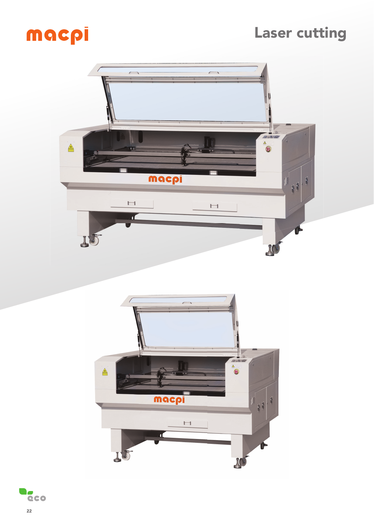## Laser cutting

# macpi